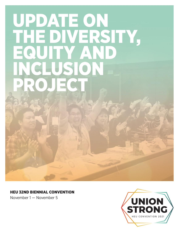# UPDATE ON THE DIVERSITY, EQUITY AND SON PROJECT

## HEU 32ND BIENNIAL CONVENTION

November 1 — November 5

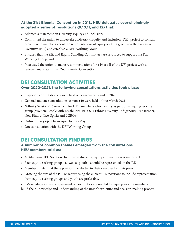## **At the 31st Biennial Convention in 2018, HEU delegates overwhelmingly adopted a series of resolutions (9,10,11, and 12) that:**

- Adopted a Statement on Diversity, Equity and Inclusion;
- Committed the union to undertake a Diversity, Equity and Inclusion (DEI) project to consult broadly with members about the representations of equity-seeking groups on the Provincial Executive (P.E.) and establish a DEI Working Group;
- Ensured that the P.E. and Equity Standing Committees are resourced to support the DEI Working Group; and
- Instructed the union to make recommendations for a Phase II of the DEI project with a renewed mandate at the 32nd Biennial Convention.

## DEI CONSULTATION ACTIVITIES

#### **Over 2020-2021, the following consultations activities took place:**

- In-person consultations: 5 were held on Vancouver Island in 2020.
- General audience consultation sessions: 10 were held online March 2021
- "Affinity Sessions": 6 were held for HEU members who identify as part of an equity-seeking group (Women; People with Disabilities; BIPOC / Ethnic Diversity; Indigenous; Transgender; Non-Binary; Two-Spirit; and LGBQ+)
- Online survey open from April to mid-May
- One consultation with the DEI Working Group

## DEI CONSULTATION FINDINGS

## **A number of common themes emerged from the consultations. HEU members told us:**

- A "Made-in-HEU Solution" to improve diversity, equity and inclusion is important.
- Each equity-seeking group—as well as youth—should be represented on the P.E.;
- Members prefer that these positions be elected in their caucuses by their peers.
- Growing the size of the P.E. or repurposing the current P.E. positions to include representation from equity-seeking groups and youth are preferable.
- More education and engagement opportunities are needed for equity-seeking members to build their knowledge and understanding of the union's structure and decision-making process.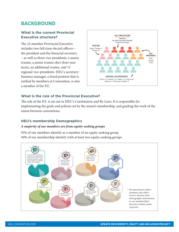# BACKGROUND

### **What is the current Provincial Executive structure?**

The 22-member Provincial Executive includes two full-time elected officers – the president and the financial secretary – as well as three vice-presidents, a senior trustee, a senior trustee elect (four-year term), an additional trustee, and 13 regional vice-presidents. HEU's secretarybusiness manager, a hired position that is ratified by members at Convention, is also a member of the P.E.



#### **What is the role of the Provincial Executive?**

The role of the P.E. is set out in HEU's Constitution and By-Laws. It is responsible for implementing the goals and policies set by the union's membership, and guiding the work of the union between conventions.

#### **HEU's membership Demographics**

#### *A majority of our members are from equity-seeking groups*

92% of our members identify as a member of an equity-seeking group 40% of our membership identify with at least two equity-seeking groups